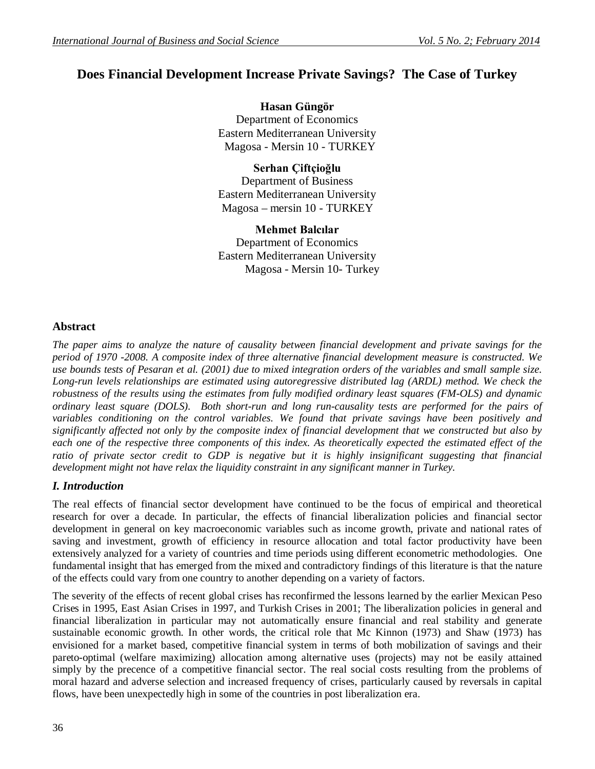# **Does Financial Development Increase Private Savings? The Case of Turkey**

**Hasan Güngör** Department of Economics Eastern Mediterranean University Magosa - Mersin 10 - TURKEY

**Serhan Çiftçioğlu** Department of Business Eastern Mediterranean University Magosa – mersin 10 - TURKEY

**Mehmet Balcılar** Department of Economics Eastern Mediterranean University Magosa - Mersin 10- Turkey

#### **Abstract**

*The paper aims to analyze the nature of causality between financial development and private savings for the period of 1970 -2008. A composite index of three alternative financial development measure is constructed. We use bounds tests of Pesaran et al. (2001) due to mixed integration orders of the variables and small sample size. Long-run levels relationships are estimated using autoregressive distributed lag (ARDL) method. We check the robustness of the results using the estimates from fully modified ordinary least squares (FM-OLS) and dynamic ordinary least square (DOLS). Both short-run and long run-causality tests are performed for the pairs of variables conditioning on the control variables. We found that private savings have been positively and significantly affected not only by the composite index of financial development that we constructed but also by*  each one of the respective three components of this index. As theoretically expected the estimated effect of the *ratio of private sector credit to GDP is negative but it is highly insignificant suggesting that financial development might not have relax the liquidity constraint in any significant manner in Turkey.*

# *I. Introduction*

The real effects of financial sector development have continued to be the focus of empirical and theoretical research for over a decade. In particular, the effects of financial liberalization policies and financial sector development in general on key macroeconomic variables such as income growth, private and national rates of saving and investment, growth of efficiency in resource allocation and total factor productivity have been extensively analyzed for a variety of countries and time periods using different econometric methodologies. One fundamental insight that has emerged from the mixed and contradictory findings of this literature is that the nature of the effects could vary from one country to another depending on a variety of factors.

The severity of the effects of recent global crises has reconfirmed the lessons learned by the earlier Mexican Peso Crises in 1995, East Asian Crises in 1997, and Turkish Crises in 2001; The liberalization policies in general and financial liberalization in particular may not automatically ensure financial and real stability and generate sustainable economic growth. In other words, the critical role that Mc Kinnon (1973) and Shaw (1973) has envisioned for a market based, competitive financial system in terms of both mobilization of savings and their pareto-optimal (welfare maximizing) allocation among alternative uses (projects) may not be easily attained simply by the precence of a competitive financial sector. The real social costs resulting from the problems of moral hazard and adverse selection and increased frequency of crises, particularly caused by reversals in capital flows, have been unexpectedly high in some of the countries in post liberalization era.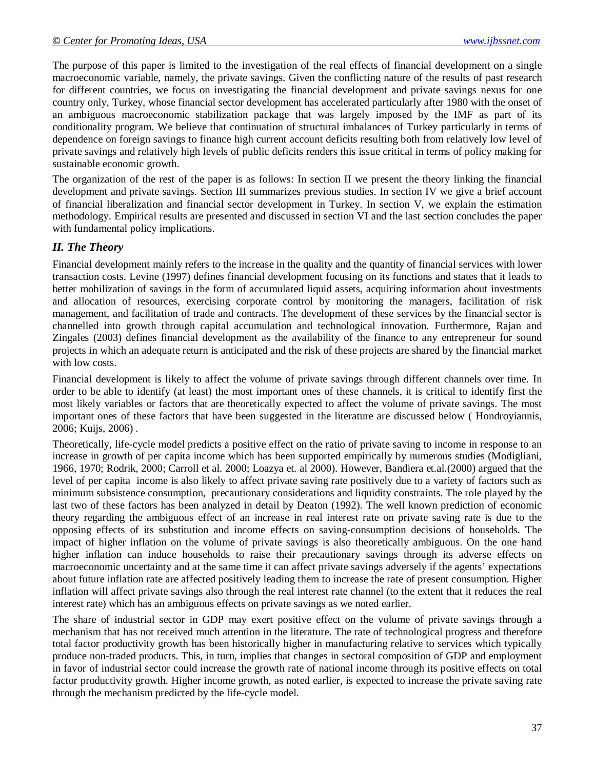The purpose of this paper is limited to the investigation of the real effects of financial development on a single macroeconomic variable, namely, the private savings. Given the conflicting nature of the results of past research for different countries, we focus on investigating the financial development and private savings nexus for one country only, Turkey, whose financial sector development has accelerated particularly after 1980 with the onset of an ambiguous macroeconomic stabilization package that was largely imposed by the IMF as part of its conditionality program. We believe that continuation of structural imbalances of Turkey particularly in terms of dependence on foreign savings to finance high current account deficits resulting both from relatively low level of private savings and relatively high levels of public deficits renders this issue critical in terms of policy making for sustainable economic growth.

The organization of the rest of the paper is as follows: In section II we present the theory linking the financial development and private savings. Section III summarizes previous studies. In section IV we give a brief account of financial liberalization and financial sector development in Turkey. In section V, we explain the estimation methodology. Empirical results are presented and discussed in section VI and the last section concludes the paper with fundamental policy implications.

#### *II. The Theory*

Financial development mainly refers to the increase in the quality and the quantity of financial services with lower transaction costs. Levine (1997) defines financial development focusing on its functions and states that it leads to better mobilization of savings in the form of accumulated liquid assets, acquiring information about investments and allocation of resources, exercising corporate control by monitoring the managers, facilitation of risk management, and facilitation of trade and contracts. The development of these services by the financial sector is channelled into growth through capital accumulation and technological innovation. Furthermore, Rajan and Zingales (2003) defines financial development as the availability of the finance to any entrepreneur for sound projects in which an adequate return is anticipated and the risk of these projects are shared by the financial market with low costs.

Financial development is likely to affect the volume of private savings through different channels over time. In order to be able to identify (at least) the most important ones of these channels, it is critical to identify first the most likely variables or factors that are theoretically expected to affect the volume of private savings. The most important ones of these factors that have been suggested in the literature are discussed below ( Hondroyiannis, 2006; Kuijs, 2006) .

Theoretically, life-cycle model predicts a positive effect on the ratio of private saving to income in response to an increase in growth of per capita income which has been supported empirically by numerous studies (Modigliani, 1966, 1970; Rodrik, 2000; Carroll et al. 2000; Loazya et. al 2000). However, Bandiera et.al.(2000) argued that the level of per capita income is also likely to affect private saving rate positively due to a variety of factors such as minimum subsistence consumption, precautionary considerations and liquidity constraints. The role played by the last two of these factors has been analyzed in detail by Deaton (1992). The well known prediction of economic theory regarding the ambiguous effect of an increase in real interest rate on private saving rate is due to the opposing effects of its substitution and income effects on saving-consumption decisions of households. The impact of higher inflation on the volume of private savings is also theoretically ambiguous. On the one hand higher inflation can induce households to raise their precautionary savings through its adverse effects on macroeconomic uncertainty and at the same time it can affect private savings adversely if the agents' expectations about future inflation rate are affected positively leading them to increase the rate of present consumption. Higher inflation will affect private savings also through the real interest rate channel (to the extent that it reduces the real interest rate) which has an ambiguous effects on private savings as we noted earlier.

The share of industrial sector in GDP may exert positive effect on the volume of private savings through a mechanism that has not received much attention in the literature. The rate of technological progress and therefore total factor productivity growth has been historically higher in manufacturing relative to services which typically produce non-traded products. This, in turn, implies that changes in sectoral composition of GDP and employment in favor of industrial sector could increase the growth rate of national income through its positive effects on total factor productivity growth. Higher income growth, as noted earlier, is expected to increase the private saving rate through the mechanism predicted by the life-cycle model.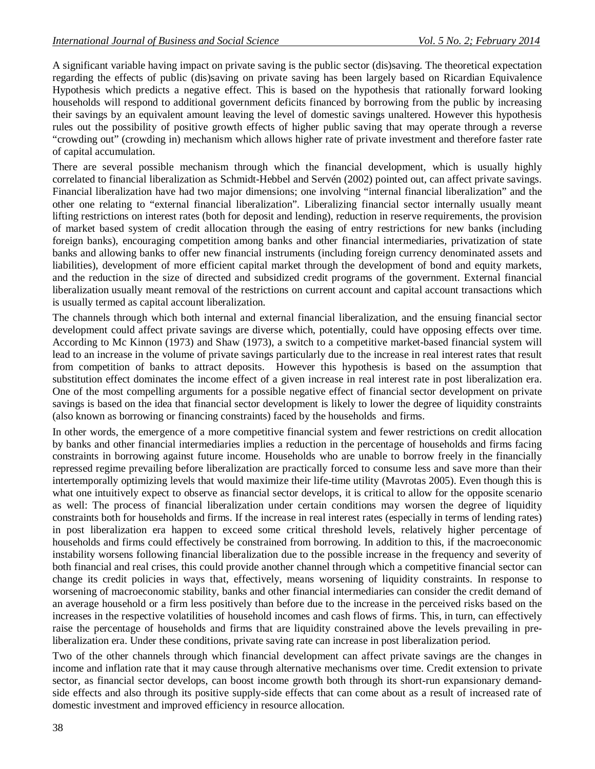A significant variable having impact on private saving is the public sector (dis)saving. The theoretical expectation regarding the effects of public (dis)saving on private saving has been largely based on Ricardian Equivalence Hypothesis which predicts a negative effect. This is based on the hypothesis that rationally forward looking households will respond to additional government deficits financed by borrowing from the public by increasing their savings by an equivalent amount leaving the level of domestic savings unaltered. However this hypothesis rules out the possibility of positive growth effects of higher public saving that may operate through a reverse "crowding out" (crowding in) mechanism which allows higher rate of private investment and therefore faster rate of capital accumulation.

There are several possible mechanism through which the financial development, which is usually highly correlated to financial liberalization as Schmidt-Hebbel and Servén (2002) pointed out, can affect private savings. Financial liberalization have had two major dimensions; one involving "internal financial liberalization" and the other one relating to "external financial liberalization". Liberalizing financial sector internally usually meant lifting restrictions on interest rates (both for deposit and lending), reduction in reserve requirements, the provision of market based system of credit allocation through the easing of entry restrictions for new banks (including foreign banks), encouraging competition among banks and other financial intermediaries, privatization of state banks and allowing banks to offer new financial instruments (including foreign currency denominated assets and liabilities), development of more efficient capital market through the development of bond and equity markets, and the reduction in the size of directed and subsidized credit programs of the government. External financial liberalization usually meant removal of the restrictions on current account and capital account transactions which is usually termed as capital account liberalization.

The channels through which both internal and external financial liberalization, and the ensuing financial sector development could affect private savings are diverse which, potentially, could have opposing effects over time. According to Mc Kinnon (1973) and Shaw (1973), a switch to a competitive market-based financial system will lead to an increase in the volume of private savings particularly due to the increase in real interest rates that result from competition of banks to attract deposits. However this hypothesis is based on the assumption that substitution effect dominates the income effect of a given increase in real interest rate in post liberalization era. One of the most compelling arguments for a possible negative effect of financial sector development on private savings is based on the idea that financial sector development is likely to lower the degree of liquidity constraints (also known as borrowing or financing constraints) faced by the households and firms.

In other words, the emergence of a more competitive financial system and fewer restrictions on credit allocation by banks and other financial intermediaries implies a reduction in the percentage of households and firms facing constraints in borrowing against future income. Households who are unable to borrow freely in the financially repressed regime prevailing before liberalization are practically forced to consume less and save more than their intertemporally optimizing levels that would maximize their life-time utility (Mavrotas 2005). Even though this is what one intuitively expect to observe as financial sector develops, it is critical to allow for the opposite scenario as well: The process of financial liberalization under certain conditions may worsen the degree of liquidity constraints both for households and firms. If the increase in real interest rates (especially in terms of lending rates) in post liberalization era happen to exceed some critical threshold levels, relatively higher percentage of households and firms could effectively be constrained from borrowing. In addition to this, if the macroeconomic instability worsens following financial liberalization due to the possible increase in the frequency and severity of both financial and real crises, this could provide another channel through which a competitive financial sector can change its credit policies in ways that, effectively, means worsening of liquidity constraints. In response to worsening of macroeconomic stability, banks and other financial intermediaries can consider the credit demand of an average household or a firm less positively than before due to the increase in the perceived risks based on the increases in the respective volatilities of household incomes and cash flows of firms. This, in turn, can effectively raise the percentage of households and firms that are liquidity constrained above the levels prevailing in preliberalization era. Under these conditions, private saving rate can increase in post liberalization period.

Two of the other channels through which financial development can affect private savings are the changes in income and inflation rate that it may cause through alternative mechanisms over time. Credit extension to private sector, as financial sector develops, can boost income growth both through its short-run expansionary demandside effects and also through its positive supply-side effects that can come about as a result of increased rate of domestic investment and improved efficiency in resource allocation.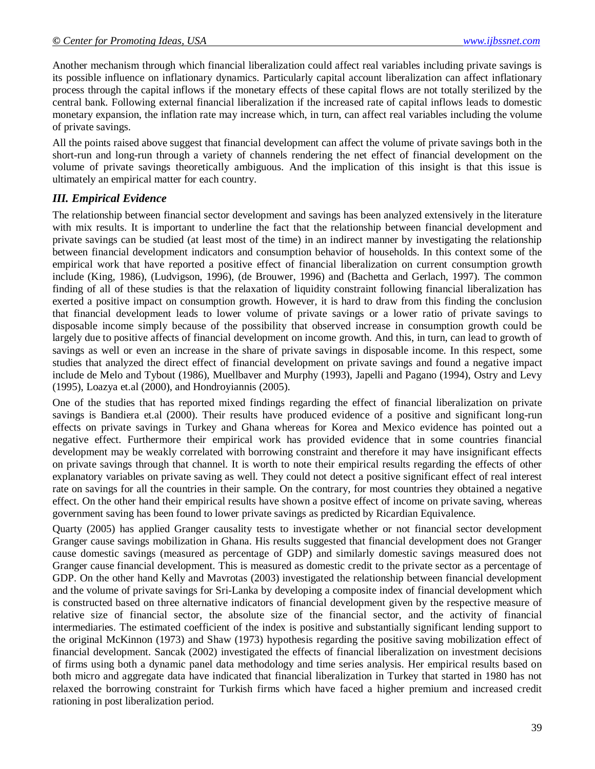Another mechanism through which financial liberalization could affect real variables including private savings is its possible influence on inflationary dynamics. Particularly capital account liberalization can affect inflationary process through the capital inflows if the monetary effects of these capital flows are not totally sterilized by the central bank. Following external financial liberalization if the increased rate of capital inflows leads to domestic monetary expansion, the inflation rate may increase which, in turn, can affect real variables including the volume of private savings.

All the points raised above suggest that financial development can affect the volume of private savings both in the short-run and long-run through a variety of channels rendering the net effect of financial development on the volume of private savings theoretically ambiguous. And the implication of this insight is that this issue is ultimately an empirical matter for each country.

#### *III. Empirical Evidence*

The relationship between financial sector development and savings has been analyzed extensively in the literature with mix results. It is important to underline the fact that the relationship between financial development and private savings can be studied (at least most of the time) in an indirect manner by investigating the relationship between financial development indicators and consumption behavior of households. In this context some of the empirical work that have reported a positive effect of financial liberalization on current consumption growth include (King, 1986), (Ludvigson, 1996), (de Brouwer, 1996) and (Bachetta and Gerlach, 1997). The common finding of all of these studies is that the relaxation of liquidity constraint following financial liberalization has exerted a positive impact on consumption growth. However, it is hard to draw from this finding the conclusion that financial development leads to lower volume of private savings or a lower ratio of private savings to disposable income simply because of the possibility that observed increase in consumption growth could be largely due to positive affects of financial development on income growth. And this, in turn, can lead to growth of savings as well or even an increase in the share of private savings in disposable income. In this respect, some studies that analyzed the direct effect of financial development on private savings and found a negative impact include de Melo and Tybout (1986), Muellbaver and Murphy (1993), Japelli and Pagano (1994), Ostry and Levy (1995), Loazya et.al (2000), and Hondroyiannis (2005).

One of the studies that has reported mixed findings regarding the effect of financial liberalization on private savings is Bandiera et.al (2000). Their results have produced evidence of a positive and significant long-run effects on private savings in Turkey and Ghana whereas for Korea and Mexico evidence has pointed out a negative effect. Furthermore their empirical work has provided evidence that in some countries financial development may be weakly correlated with borrowing constraint and therefore it may have insignificant effects on private savings through that channel. It is worth to note their empirical results regarding the effects of other explanatory variables on private saving as well. They could not detect a positive significant effect of real interest rate on savings for all the countries in their sample. On the contrary, for most countries they obtained a negative effect. On the other hand their empirical results have shown a positve effect of income on private saving, whereas government saving has been found to lower private savings as predicted by Ricardian Equivalence.

Quarty (2005) has applied Granger causality tests to investigate whether or not financial sector development Granger cause savings mobilization in Ghana. His results suggested that financial development does not Granger cause domestic savings (measured as percentage of GDP) and similarly domestic savings measured does not Granger cause financial development. This is measured as domestic credit to the private sector as a percentage of GDP. On the other hand Kelly and Mavrotas (2003) investigated the relationship between financial development and the volume of private savings for Sri-Lanka by developing a composite index of financial development which is constructed based on three alternative indicators of financial development given by the respective measure of relative size of financial sector, the absolute size of the financial sector, and the activity of financial intermediaries. The estimated coefficient of the index is positive and substantially significant lending support to the original McKinnon (1973) and Shaw (1973) hypothesis regarding the positive saving mobilization effect of financial development. Sancak (2002) investigated the effects of financial liberalization on investment decisions of firms using both a dynamic panel data methodology and time series analysis. Her empirical results based on both micro and aggregate data have indicated that financial liberalization in Turkey that started in 1980 has not relaxed the borrowing constraint for Turkish firms which have faced a higher premium and increased credit rationing in post liberalization period.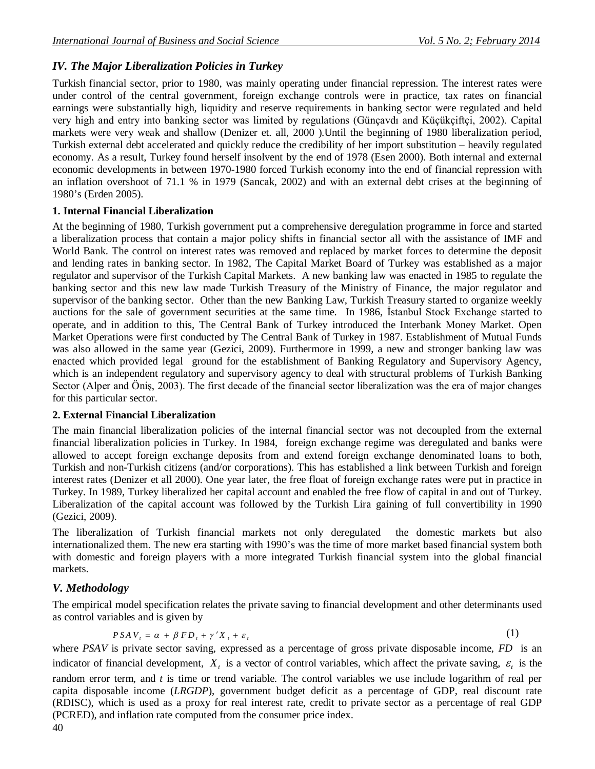# *IV. The Major Liberalization Policies in Turkey*

Turkish financial sector, prior to 1980, was mainly operating under financial repression. The interest rates were under control of the central government, foreign exchange controls were in practice, tax rates on financial earnings were substantially high, liquidity and reserve requirements in banking sector were regulated and held very high and entry into banking sector was limited by regulations (Günçavdı and Küçükçiftçi, 2002). Capital markets were very weak and shallow (Denizer et. all, 2000 ).Until the beginning of 1980 liberalization period, Turkish external debt accelerated and quickly reduce the credibility of her import substitution – heavily regulated economy. As a result, Turkey found herself insolvent by the end of 1978 (Esen 2000). Both internal and external economic developments in between 1970-1980 forced Turkish economy into the end of financial repression with an inflation overshoot of 71.1 % in 1979 (Sancak, 2002) and with an external debt crises at the beginning of 1980's (Erden 2005).

# **1. Internal Financial Liberalization**

At the beginning of 1980, Turkish government put a comprehensive deregulation programme in force and started a liberalization process that contain a major policy shifts in financial sector all with the assistance of IMF and World Bank. The control on interest rates was removed and replaced by market forces to determine the deposit and lending rates in banking sector. In 1982, The Capital Market Board of Turkey was established as a major regulator and supervisor of the Turkish Capital Markets. A new banking law was enacted in 1985 to regulate the banking sector and this new law made Turkish Treasury of the Ministry of Finance, the major regulator and supervisor of the banking sector. Other than the new Banking Law, Turkish Treasury started to organize weekly auctions for the sale of government securities at the same time. In 1986, İstanbul Stock Exchange started to operate, and in addition to this, The Central Bank of Turkey introduced the Interbank Money Market. Open Market Operations were first conducted by The Central Bank of Turkey in 1987. Establishment of Mutual Funds was also allowed in the same year (Gezici, 2009). Furthermore in 1999, a new and stronger banking law was enacted which provided legal ground for the establishment of Banking Regulatory and Supervisory Agency, which is an independent regulatory and supervisory agency to deal with structural problems of Turkish Banking Sector (Alper and Öniş, 2003). The first decade of the financial sector liberalization was the era of major changes for this particular sector.

# **2. External Financial Liberalization**

The main financial liberalization policies of the internal financial sector was not decoupled from the external financial liberalization policies in Turkey. In 1984, foreign exchange regime was deregulated and banks were allowed to accept foreign exchange deposits from and extend foreign exchange denominated loans to both, Turkish and non-Turkish citizens (and/or corporations). This has established a link between Turkish and foreign interest rates (Denizer et all 2000). One year later, the free float of foreign exchange rates were put in practice in Turkey. In 1989, Turkey liberalized her capital account and enabled the free flow of capital in and out of Turkey. Liberalization of the capital account was followed by the Turkish Lira gaining of full convertibility in 1990 (Gezici, 2009).

The liberalization of Turkish financial markets not only deregulated the domestic markets but also internationalized them. The new era starting with 1990's was the time of more market based financial system both with domestic and foreign players with a more integrated Turkish financial system into the global financial markets.

# *V. Methodology*

The empirical model specification relates the private saving to financial development and other determinants used as control variables and is given by

$$
PSAV_t = \alpha + \beta FD_t + \gamma'X_t + \varepsilon_t
$$
 (1)

where *PSAV* is private sector saving, expressed as a percentage of gross private disposable income, *FD* is an indicator of financial development,  $X_t$  is a vector of control variables, which affect the private saving,  $\varepsilon_t$  is the random error term, and *t* is time or trend variable. The control variables we use include logarithm of real per capita disposable income (*LRGDP*), government budget deficit as a percentage of GDP, real discount rate (RDISC), which is used as a proxy for real interest rate, credit to private sector as a percentage of real GDP (PCRED), and inflation rate computed from the consumer price index.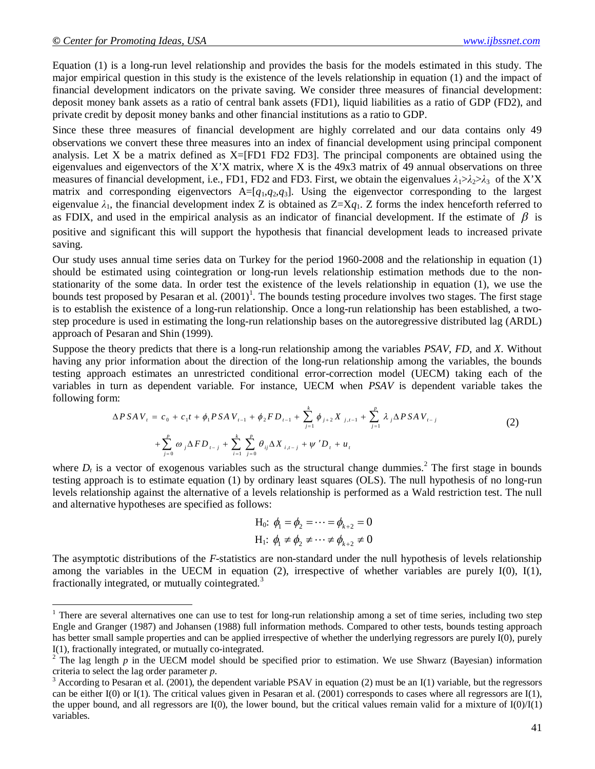$\overline{a}$ 

Equation (1) is a long-run level relationship and provides the basis for the models estimated in this study. The major empirical question in this study is the existence of the levels relationship in equation (1) and the impact of financial development indicators on the private saving. We consider three measures of financial development: deposit money bank assets as a ratio of central bank assets (FD1), liquid liabilities as a ratio of GDP (FD2), and private credit by deposit money banks and other financial institutions as a ratio to GDP.

Since these three measures of financial development are highly correlated and our data contains only 49 observations we convert these three measures into an index of financial development using principal component analysis. Let X be a matrix defined as X=[FD1 FD2 FD3]. The principal components are obtained using the eigenvalues and eigenvectors of the X'X matrix, where X is the 49x3 matrix of 49 annual observations on three measures of financial development, i.e., FD1, FD2 and FD3. First, we obtain the eigenvalues  $\lambda_1 > \lambda_2 > \lambda_3$  of the X'X matrix and corresponding eigenvectors A=[*q*1,*q*2,*q*3]. Using the eigenvector corresponding to the largest eigenvalue  $\lambda_1$ , the financial development index Z is obtained as  $Z=Xq_1$ . Z forms the index henceforth referred to as FDIX, and used in the empirical analysis as an indicator of financial development. If the estimate of  $\beta$  is positive and significant this will support the hypothesis that financial development leads to increased private saving.

Our study uses annual time series data on Turkey for the period 1960-2008 and the relationship in equation (1) should be estimated using cointegration or long-run levels relationship estimation methods due to the nonstationarity of the some data. In order test the existence of the levels relationship in equation (1), we use the bounds test proposed by Pesaran et al.  $(2001)^1$ . The bounds testing procedure involves two stages. The first stage is to establish the existence of a long-run relationship. Once a long-run relationship has been established, a twostep procedure is used in estimating the long-run relationship bases on the autoregressive distributed lag (ARDL) approach of Pesaran and Shin (1999).

Suppose the theory predicts that there is a long-run relationship among the variables *PSAV*, *FD*, and *X*. Without having any prior information about the direction of the long-run relationship among the variables, the bounds testing approach estimates an unrestricted conditional error-correction model (UECM) taking each of the variables in turn as dependent variable. For instance, UECM when *PSAV* is dependent variable takes the following form:

$$
\Delta P S A V_{t} = c_{0} + c_{1} t + \phi_{1} P S A V_{t-1} + \phi_{2} F D_{t-1} + \sum_{j=1}^{k} \phi_{j+2} X_{j,t-1} + \sum_{j=1}^{p} \lambda_{j} \Delta P S A V_{t-j} + \sum_{j=0}^{p} \omega_{j} \Delta F D_{t-j} + \sum_{i=1}^{k} \sum_{j=0}^{p} \theta_{ij} \Delta X_{i,t-j} + \psi' D_{t} + u_{t}
$$
\n(2)

where  $D_t$  is a vector of exogenous variables such as the structural change dummies.<sup>2</sup> The first stage in bounds testing approach is to estimate equation (1) by ordinary least squares (OLS). The null hypothesis of no long-run levels relationship against the alternative of a levels relationship is performed as a Wald restriction test. The null and alternative hypotheses are specified as follows:

H<sub>0</sub>: 
$$
\phi_1 = \phi_2 = \cdots = \phi_{k+2} = 0
$$
  
H<sub>1</sub>:  $\phi_1 \neq \phi_2 \neq \cdots \neq \phi_{k+2} \neq 0$ 

The asymptotic distributions of the *F*-statistics are non-standard under the null hypothesis of levels relationship among the variables in the UECM in equation (2), irrespective of whether variables are purely  $I(0)$ ,  $I(1)$ , fractionally integrated, or mutually cointegrated.<sup>3</sup>

<sup>&</sup>lt;sup>1</sup> There are several alternatives one can use to test for long-run relationship among a set of time series, including two step Engle and Granger (1987) and Johansen (1988) full information methods. Compared to other tests, bounds testing approach has better small sample properties and can be applied irrespective of whether the underlying regressors are purely I(0), purely I(1), fractionally integrated, or mutually co-integrated.

<sup>&</sup>lt;sup>2</sup> The lag length  $p$  in the UECM model should be specified prior to estimation. We use Shwarz (Bayesian) information criteria to select the lag order parameter *p*.

 $3$  According to Pesaran et al. (2001), the dependent variable PSAV in equation (2) must be an I(1) variable, but the regressors can be either I(0) or I(1). The critical values given in Pesaran et al. (2001) corresponds to cases where all regressors are I(1), the upper bound, and all regressors are I(0), the lower bound, but the critical values remain valid for a mixture of  $I(0)/I(1)$ variables.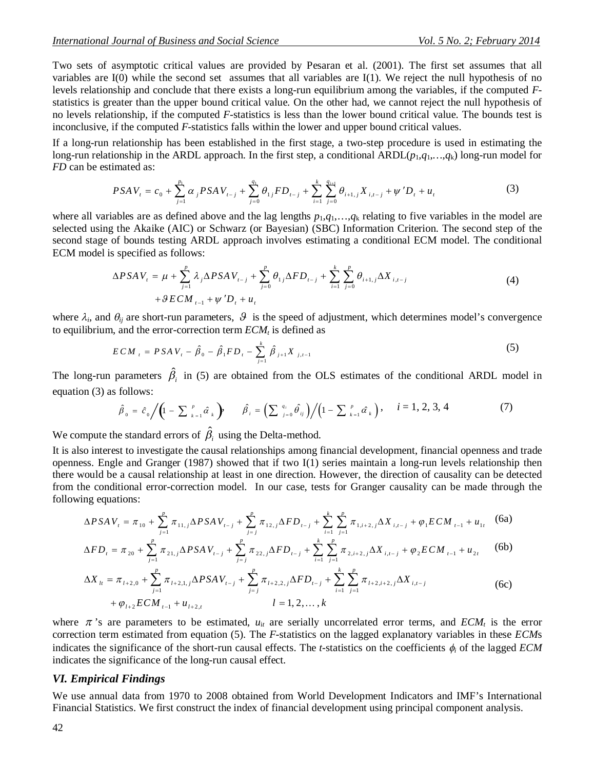Two sets of asymptotic critical values are provided by Pesaran et al. (2001). The first set assumes that all variables are I(0) while the second set assumes that all variables are I(1). We reject the null hypothesis of no levels relationship and conclude that there exists a long-run equilibrium among the variables, if the computed *F*statistics is greater than the upper bound critical value. On the other had, we cannot reject the null hypothesis of no levels relationship, if the computed *F*-statistics is less than the lower bound critical value. The bounds test is inconclusive, if the computed *F*-statistics falls within the lower and upper bound critical values.

If a long-run relationship has been established in the first stage, a two-step procedure is used in estimating the long-run relationship in the ARDL approach. In the first step, a conditional ARDL $(p_1, q_1, \ldots, q_k)$  long-run model for *FD* can be estimated as:

$$
PSAV_t = c_0 + \sum_{j=1}^{p_1} \alpha_j PSAV_{t-j} + \sum_{j=0}^{q_1} \theta_{1j} FD_{t-j} + \sum_{i=1}^{k} \sum_{j=0}^{q_{i+1}} \theta_{i+1,j} X_{i,t-j} + \psi' D_t + u_t
$$
 (3)

where all variables are as defined above and the lag lengths  $p_1, q_1, \ldots, q_k$  relating to five variables in the model are selected using the Akaike (AIC) or Schwarz (or Bayesian) (SBC) Information Criterion. The second step of the second stage of bounds testing ARDL approach involves estimating a conditional ECM model. The conditional ECM model is specified as follows:

$$
\Delta PSAV_{t} = \mu + \sum_{j=1}^{p} \lambda_{j} \Delta PSAV_{t-j} + \sum_{j=0}^{p} \theta_{1j} \Delta FD_{t-j} + \sum_{i=1}^{k} \sum_{j=0}^{p} \theta_{i+1,j} \Delta X_{i,t-j}
$$
  
+ $\theta$ ECM<sub>t-1</sub> +  $\psi$ 'D<sub>t</sub> + u<sub>t</sub> (4)

where  $\lambda_i$ , and  $\theta_{ij}$  are short-run parameters,  $\theta$  is the speed of adjustment, which determines model's convergence to equilibrium, and the error-correction term *ECM<sup>t</sup>* is defined as

$$
ECM_{t} = PSAV_{t} - \hat{\beta}_{0} - \hat{\beta}_{1}FD_{t} - \sum_{j=1}^{k} \hat{\beta}_{j+1}X_{j,t-1}
$$
\n(5)

The long-run parameters  $\hat{\beta}_i$  in (5) are obtained from the OLS estimates of the conditional ARDL model in equation (3) as follows:

$$
\hat{\beta}_0 = \hat{c}_0 / \left(1 - \sum_{k=1}^p \hat{\alpha}_k \right), \quad \hat{\beta}_i = \left(\sum_{j=0}^{q_i} \hat{\theta}_{ij}\right) / \left(1 - \sum_{k=1}^p \hat{\alpha}_k\right), \quad i = 1, 2, 3, 4
$$
 (7)

We compute the standard errors of  $\hat{\beta}_i$  using the Delta-method.

It is also interest to investigate the causal relationships among financial development, financial openness and trade openness. Engle and Granger (1987) showed that if two I(1) series maintain a long-run levels relationship then there would be a causal relationship at least in one direction. However, the direction of causality can be detected from the conditional error-correction model. In our case, tests for Granger causality can be made through the following equations:

$$
\Delta PSAV_{i} = \pi_{10} + \sum_{j=1}^{p} \pi_{11,j} \Delta PSAV_{i-j} + \sum_{j=j}^{p} \pi_{12,j} \Delta FD_{i-j} + \sum_{i=1}^{k} \sum_{j=1}^{p} \pi_{1,i+2,j} \Delta X_{i,i-j} + \varphi_{1} ECM_{i-1} + u_{1i} \tag{6a}
$$

$$
\Delta FD_{t} = \pi_{20} + \sum_{j=1}^{p} \pi_{21,j} \Delta PSAV_{t-j} + \sum_{j=j}^{p} \pi_{22,j} \Delta FD_{t-j} + \sum_{i=1}^{k} \sum_{j=1}^{p} \pi_{2,i+2,j} \Delta X_{i,t-j} + \varphi_{2} ECM_{t-1} + u_{2t}
$$
 (6b)

$$
\Delta X_{lt} = \pi_{l+2,0} + \sum_{j=1}^{p} \pi_{l+2,1,j} \Delta PSAV_{t-j} + \sum_{j=j}^{p} \pi_{l+2,2,j} \Delta FD_{t-j} + \sum_{i=1}^{k} \sum_{j=1}^{p} \pi_{l+2,i+2,j} \Delta X_{i,t-j}
$$
  
+  $\varphi_{l+2} ECM_{t-1} + u_{l+2,t}$   $l = 1, 2, ..., k$  (6c)

where  $\pi$ 's are parameters to be estimated,  $u_{it}$  are serially uncorrelated error terms, and  $ECM_t$  is the error correction term estimated from equation (5). The *F*-statistics on the lagged explanatory variables in these *ECM*s indicates the significance of the short-run causal effects. The *t*-statistics on the coefficients  $\phi_i$  of the lagged *ECM* indicates the significance of the long-run causal effect.

#### *VI. Empirical Findings*

We use annual data from 1970 to 2008 obtained from World Development Indicators and IMF's International Financial Statistics. We first construct the index of financial development using principal component analysis.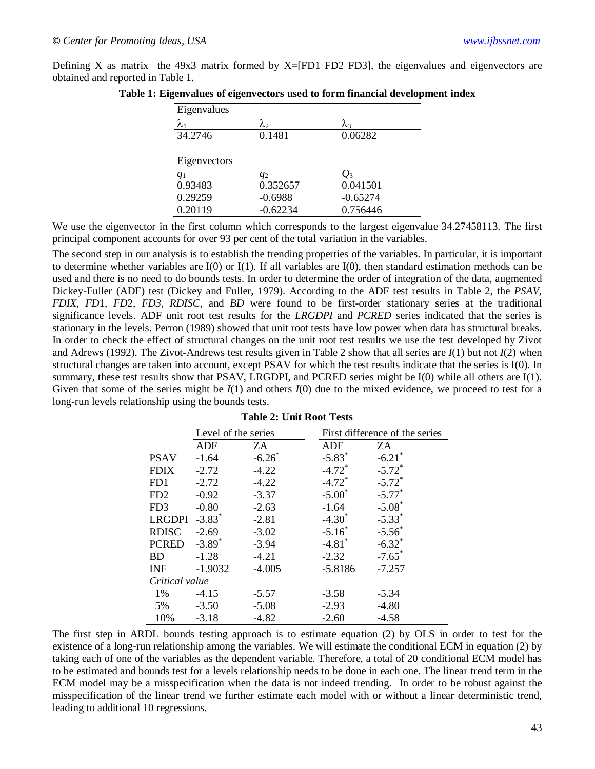Defining X as matrix the 49x3 matrix formed by  $X=[FD1 FD2 FD3]$ , the eigenvalues and eigenvectors are obtained and reported in Table 1.

| Eigenvalues  |             |            |
|--------------|-------------|------------|
| $\lambda_1$  | $\lambda_2$ | λ3         |
| 34.2746      | 0.1481      | 0.06282    |
|              |             |            |
| Eigenvectors |             |            |
| $q_1$        | $q_2$       | $Q_3$      |
| 0.93483      | 0.352657    | 0.041501   |
| 0.29259      | $-0.6988$   | $-0.65274$ |
| 0.20119      | $-0.62234$  | 0.756446   |

|  | Table 1: Eigenvalues of eigenvectors used to form financial development index |  |  |
|--|-------------------------------------------------------------------------------|--|--|
|  |                                                                               |  |  |

We use the eigenvector in the first column which corresponds to the largest eigenvalue 34.27458113. The first principal component accounts for over 93 per cent of the total variation in the variables.

The second step in our analysis is to establish the trending properties of the variables. In particular, it is important to determine whether variables are  $I(0)$  or  $I(1)$ . If all variables are  $I(0)$ , then standard estimation methods can be used and there is no need to do bounds tests. In order to determine the order of integration of the data, augmented Dickey-Fuller (ADF) test (Dickey and Fuller, 1979). According to the ADF test results in Table 2, the *PSAV*, *FDIX*, *FD*1, *FD*2, *FD3*, *RDISC*, and *BD* were found to be first-order stationary series at the traditional significance levels. ADF unit root test results for the *LRGDPI* and *PCRED* series indicated that the series is stationary in the levels. Perron (1989) showed that unit root tests have low power when data has structural breaks. In order to check the effect of structural changes on the unit root test results we use the test developed by Zivot and Adrews (1992). The Zivot-Andrews test results given in Table 2 show that all series are *I*(1) but not *I*(2) when structural changes are taken into account, except PSAV for which the test results indicate that the series is I(0). In summary, these test results show that PSAV, LRGDPI, and PCRED series might be I(0) while all others are I(1). Given that some of the series might be  $I(1)$  and others  $I(0)$  due to the mixed evidence, we proceed to test for a long-run levels relationship using the bounds tests.

|                 | Level of the series  |          |                      | First difference of the series |
|-----------------|----------------------|----------|----------------------|--------------------------------|
|                 | <b>ADF</b>           | ZA       | <b>ADF</b>           | ZA                             |
| <b>PSAV</b>     | $-1.64$              | $-6.26$  | $-5.83$ <sup>*</sup> | $-6.21$ <sup>*</sup>           |
| <b>FDIX</b>     | $-2.72$              | $-4.22$  | $-4.72$ <sup>*</sup> | $-5.72$ <sup>*</sup>           |
| FD1             | $-2.72$              | $-4.22$  | $-4.72$ <sup>*</sup> | $-5.72$ <sup>*</sup>           |
| FD2             | $-0.92$              | $-3.37$  | $-5.00^*$            | $-5.77$ <sup>*</sup>           |
| FD <sub>3</sub> | $-0.80$              | $-2.63$  | $-1.64$              | $-5.08$ <sup>*</sup>           |
| <b>LRGDPI</b>   | $-3.83$ <sup>*</sup> | $-2.81$  | $-4.30$              | $-5.33$ <sup>*</sup>           |
| <b>RDISC</b>    | $-2.69$              | $-3.02$  | $-5.16^*$            | $-5.56^*$                      |
| <b>PCRED</b>    | $-3.89$ <sup>*</sup> | $-3.94$  | $-4.81$ <sup>*</sup> | $-6.32$ *                      |
| BD              | $-1.28$              | $-4.21$  | $-2.32$              | $-7.65$ <sup>*</sup>           |
| <b>INF</b>      | $-1.9032$            | $-4.005$ | $-5.8186$            | $-7.257$                       |
| Critical value  |                      |          |                      |                                |
| 1%              | $-4.15$              | $-5.57$  | $-3.58$              | $-5.34$                        |
| 5%              | $-3.50$              | $-5.08$  | $-2.93$              | $-4.80$                        |
| 10%             | $-3.18$              | $-4.82$  | $-2.60$              | $-4.58$                        |

| <b>Table 2: Unit Root Tests</b> |  |  |
|---------------------------------|--|--|
|---------------------------------|--|--|

The first step in ARDL bounds testing approach is to estimate equation (2) by OLS in order to test for the existence of a long-run relationship among the variables. We will estimate the conditional ECM in equation (2) by taking each of one of the variables as the dependent variable. Therefore, a total of 20 conditional ECM model has to be estimated and bounds test for a levels relationship needs to be done in each one. The linear trend term in the ECM model may be a misspecification when the data is not indeed trending. In order to be robust against the misspecification of the linear trend we further estimate each model with or without a linear deterministic trend, leading to additional 10 regressions.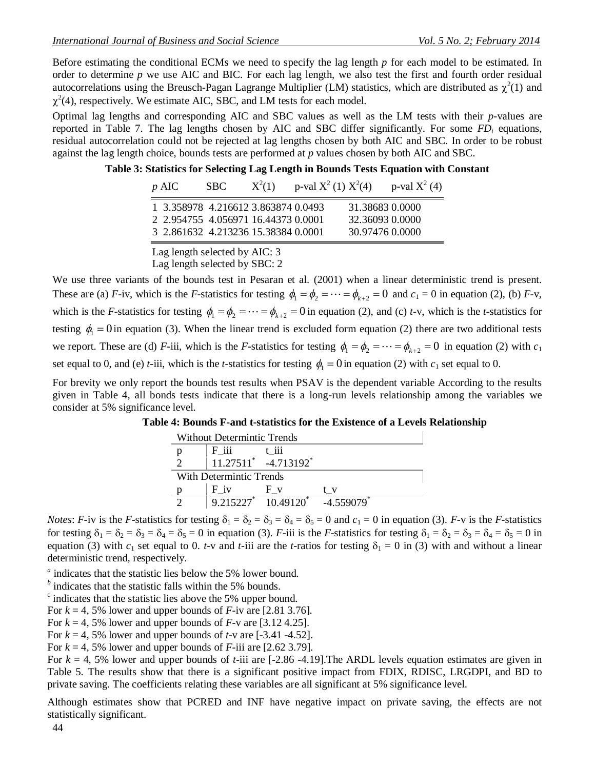Before estimating the conditional ECMs we need to specify the lag length *p* for each model to be estimated. In order to determine *p* we use AIC and BIC. For each lag length, we also test the first and fourth order residual autocorrelations using the Breusch-Pagan Lagrange Multiplier (LM) statistics, which are distributed as  $\chi^2(1)$  and  $\chi^2(4)$ , respectively. We estimate AIC, SBC, and LM tests for each model.

Optimal lag lengths and corresponding AIC and SBC values as well as the LM tests with their *p*-values are reported in Table 7. The lag lengths chosen by AIC and SBC differ significantly. For some *FD<sup>i</sup>* equations, residual autocorrelation could not be rejected at lag lengths chosen by both AIC and SBC. In order to be robust against the lag length choice, bounds tests are performed at *p* values chosen by both AIC and SBC.

#### **Table 3: Statistics for Selecting Lag Length in Bounds Tests Equation with Constant**

| $p$ AIC                                                                                                           | SBC. | $X^2(1)$ | p-val $X^2$ (1) $X^2$ (4) |                                                       | p-val $X^2(4)$ |
|-------------------------------------------------------------------------------------------------------------------|------|----------|---------------------------|-------------------------------------------------------|----------------|
| 1 3.358978 4.216612 3.863874 0.0493<br>2 2.954755 4.056971 16.44373 0.0001<br>3 2.861632 4.213236 15.38384 0.0001 |      |          |                           | 31.38683 0.0000<br>32.36093 0.0000<br>30.97476 0.0000 |                |

Lag length selected by AIC: 3 Lag length selected by SBC: 2

We use three variants of the bounds test in Pesaran et al. (2001) when a linear deterministic trend is present. These are (a) *F*-iv, which is the *F*-statistics for testing  $\phi_1 = \phi_2 = \cdots = \phi_{k+2} = 0$  and  $c_1 = 0$  in equation (2), (b) *F*-v, which is the *F*-statistics for testing  $\phi_1 = \phi_2 = \cdots = \phi_{k+2} = 0$  in equation (2), and (c) *t*-v, which is the *t*-statistics for testing  $\phi_1 = 0$  in equation (3). When the linear trend is excluded form equation (2) there are two additional tests we report. These are (d) *F*-iii, which is the *F*-statistics for testing  $\phi_1 = \phi_2 = \cdots = \phi_{k+2} = 0$  in equation (2) with  $c_1$ set equal to 0, and (e) *t*-iii, which is the *t*-statistics for testing  $\phi_1 = 0$  in equation (2) with  $c_1$  set equal to 0.

For brevity we only report the bounds test results when PSAV is the dependent variable According to the results given in Table 4, all bonds tests indicate that there is a long-run levels relationship among the variables we consider at 5% significance level.

| <b>Without Determintic Trends</b> |                         |                                                |                          |  |  |  |
|-----------------------------------|-------------------------|------------------------------------------------|--------------------------|--|--|--|
|                                   | $F$ iii                 | t 111                                          |                          |  |  |  |
|                                   |                         | $11.27511$ <sup>*</sup> -4.713192 <sup>*</sup> |                          |  |  |  |
|                                   | With Determintic Trends |                                                |                          |  |  |  |
|                                   | $F_{i}$                 |                                                | tv                       |  |  |  |
|                                   |                         | $9.215227^*$ 10.49120 <sup>*</sup>             | $-4.559079$ <sup>*</sup> |  |  |  |

**Table 4: Bounds F-and t-statistics for the Existence of a Levels Relationship** 

*Notes*: *F*-iv is the *F*-statistics for testing  $\delta_1 = \delta_2 = \delta_3 = \delta_4 = \delta_5 = 0$  and  $c_1 = 0$  in equation (3). *F*-v is the *F*-statistics for testing  $\delta_1 = \delta_2 = \delta_3 = \delta_4 = \delta_5 = 0$  in equation (3). *F*-iii is the *F*-statistics for testing  $\delta_1 = \delta_2 = \delta_3 = \delta_4 = \delta_5 = 0$  in equation (3) with  $c_1$  set equal to 0. *t*-v and *t*-iii are the *t*-ratios for testing  $\delta_1 = 0$  in (3) with and without a linear deterministic trend, respectively.

<sup>*a*</sup> indicates that the statistic lies below the 5% lower bound.

<sup>*b*</sup> indicates that the statistic falls within the 5% bounds.

<sup>c</sup> indicates that the statistic lies above the 5% upper bound.

For  $k = 4$ , 5% lower and upper bounds of  $F$ -iv are [2.81 3.76].

For  $k = 4$ , 5% lower and upper bounds of  $F$ -v are [3.12 4.25].

For  $k = 4$ , 5% lower and upper bounds of  $t$ -v are  $[-3.41 -4.52]$ .

For  $k = 4$ , 5% lower and upper bounds of *F*-iii are [2.62 3.79].

For  $k = 4$ , 5% lower and upper bounds of *t*-iii are  $[-2.86 - 4.19]$ . The ARDL levels equation estimates are given in Table 5. The results show that there is a significant positive impact from FDIX, RDISC, LRGDPI, and BD to private saving. The coefficients relating these variables are all significant at 5% significance level.

Although estimates show that PCRED and INF have negative impact on private saving, the effects are not statistically significant.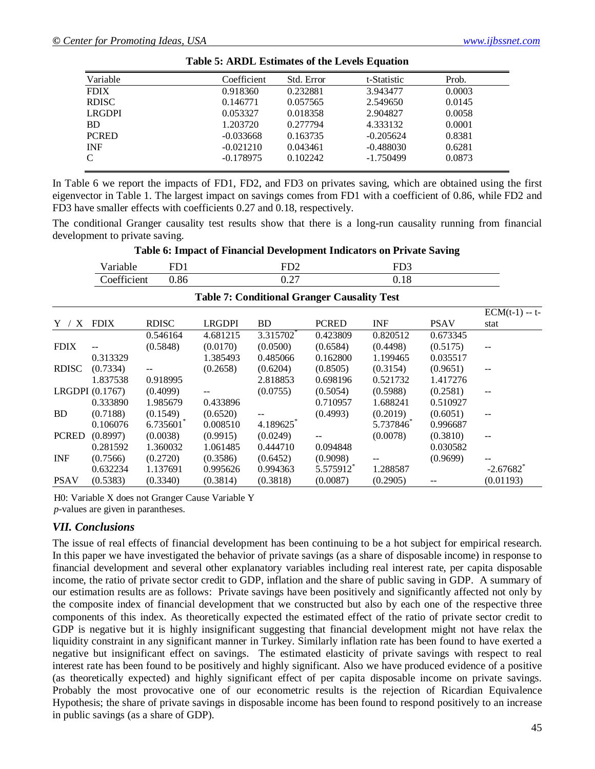| Variable      | Coefficient | Std. Error | t-Statistic | Prob.  |  |
|---------------|-------------|------------|-------------|--------|--|
| <b>FDIX</b>   | 0.918360    | 0.232881   | 3.943477    | 0.0003 |  |
| <b>RDISC</b>  | 0.146771    | 0.057565   | 2.549650    | 0.0145 |  |
| <b>LRGDPI</b> | 0.053327    | 0.018358   | 2.904827    | 0.0058 |  |
| <b>BD</b>     | 1.203720    | 0.277794   | 4.333132    | 0.0001 |  |
| <b>PCRED</b>  | $-0.033668$ | 0.163735   | $-0.205624$ | 0.8381 |  |
| <b>INF</b>    | $-0.021210$ | 0.043461   | $-0.488030$ | 0.6281 |  |
| $\mathcal{C}$ | $-0.178975$ | 0.102242   | $-1.750499$ | 0.0873 |  |
|               |             |            |             |        |  |

| <b>Table 5: ARDL Estimates of the Levels Equation</b> |  |  |  |  |
|-------------------------------------------------------|--|--|--|--|
|-------------------------------------------------------|--|--|--|--|

In Table 6 we report the impacts of FD1, FD2, and FD3 on privates saving, which are obtained using the first eigenvector in Table 1. The largest impact on savings comes from FD1 with a coefficient of 0.86, while FD2 and FD3 have smaller effects with coefficients 0.27 and 0.18, respectively.

The conditional Granger causality test results show that there is a long-run causality running from financial development to private saving.

|              |                 |              |               |                 |                                                    | Tuble of Impact of Financial Development Indicators on Friend Saving |             |                         |
|--------------|-----------------|--------------|---------------|-----------------|----------------------------------------------------|----------------------------------------------------------------------|-------------|-------------------------|
|              | Variable        | FD1          |               | FD <sub>2</sub> |                                                    | FD <sub>3</sub>                                                      |             |                         |
|              | Coefficient     | 0.86         |               | 0.27            |                                                    | 0.18                                                                 |             |                         |
|              |                 |              |               |                 | <b>Table 7: Conditional Granger Causality Test</b> |                                                                      |             |                         |
|              |                 |              |               |                 |                                                    |                                                                      |             | $ECM(t-1) - t$          |
| $Y / X$ FDIX |                 | <b>RDISC</b> | <b>LRGDPI</b> | <b>BD</b>       | <b>PCRED</b>                                       | <b>INF</b>                                                           | <b>PSAV</b> | stat                    |
|              |                 | 0.546164     | 4.681215      | 3.315702        | 0.423809                                           | 0.820512                                                             | 0.673345    |                         |
| <b>FDIX</b>  |                 | (0.5848)     | (0.0170)      | (0.0500)        | (0.6584)                                           | (0.4498)                                                             | (0.5175)    |                         |
|              | 0.313329        |              | 1.385493      | 0.485066        | 0.162800                                           | 1.199465                                                             | 0.035517    |                         |
| <b>RDISC</b> | (0.7334)        |              | (0.2658)      | (0.6204)        | (0.8505)                                           | (0.3154)                                                             | (0.9651)    |                         |
|              | 1.837538        | 0.918995     |               | 2.818853        | 0.698196                                           | 0.521732                                                             | 1.417276    |                         |
|              | LRGDPI (0.1767) | (0.4099)     |               | (0.0755)        | (0.5054)                                           | (0.5988)                                                             | (0.2581)    | --                      |
|              | 0.333890        | 1.985679     | 0.433896      |                 | 0.710957                                           | 1.688241                                                             | 0.510927    |                         |
| <b>BD</b>    | (0.7188)        | (0.1549)     | (0.6520)      |                 | (0.4993)                                           | (0.2019)                                                             | (0.6051)    |                         |
|              | 0.106076        | 6.735601     | 0.008510      | 4.189625        |                                                    | 5.737846                                                             | 0.996687    |                         |
| <b>PCRED</b> | (0.8997)        | (0.0038)     | (0.9915)      | (0.0249)        | $\overline{a}$                                     | (0.0078)                                                             | (0.3810)    | $\sim$ $\sim$           |
|              | 0.281592        | 1.360032     | 1.061485      | 0.444710        | 0.094848                                           |                                                                      | 0.030582    |                         |
| <b>INF</b>   | (0.7566)        | (0.2720)     | (0.3586)      | (0.6452)        | (0.9098)                                           |                                                                      | (0.9699)    |                         |
|              | 0.632234        | 1.137691     | 0.995626      | 0.994363        | 5.575912                                           | 1.288587                                                             |             | $-2.67682$ <sup>*</sup> |
| <b>PSAV</b>  | (0.5383)        | (0.3340)     | (0.3814)      | (0.3818)        | (0.0087)                                           | (0.2905)                                                             |             | (0.01193)               |

**Table 6: Impact of Financial Development Indicators on Private Saving**

H0: Variable X does not Granger Cause Variable Y *p*-values are given in parantheses.

#### *VII. Conclusions*

The issue of real effects of financial development has been continuing to be a hot subject for empirical research. In this paper we have investigated the behavior of private savings (as a share of disposable income) in response to financial development and several other explanatory variables including real interest rate, per capita disposable income, the ratio of private sector credit to GDP, inflation and the share of public saving in GDP. A summary of our estimation results are as follows: Private savings have been positively and significantly affected not only by the composite index of financial development that we constructed but also by each one of the respective three components of this index. As theoretically expected the estimated effect of the ratio of private sector credit to GDP is negative but it is highly insignificant suggesting that financial development might not have relax the liquidity constraint in any significant manner in Turkey. Similarly inflation rate has been found to have exerted a negative but insignificant effect on savings. The estimated elasticity of private savings with respect to real interest rate has been found to be positively and highly significant. Also we have produced evidence of a positive (as theoretically expected) and highly significant effect of per capita disposable income on private savings. Probably the most provocative one of our econometric results is the rejection of Ricardian Equivalence Hypothesis; the share of private savings in disposable income has been found to respond positively to an increase in public savings (as a share of GDP).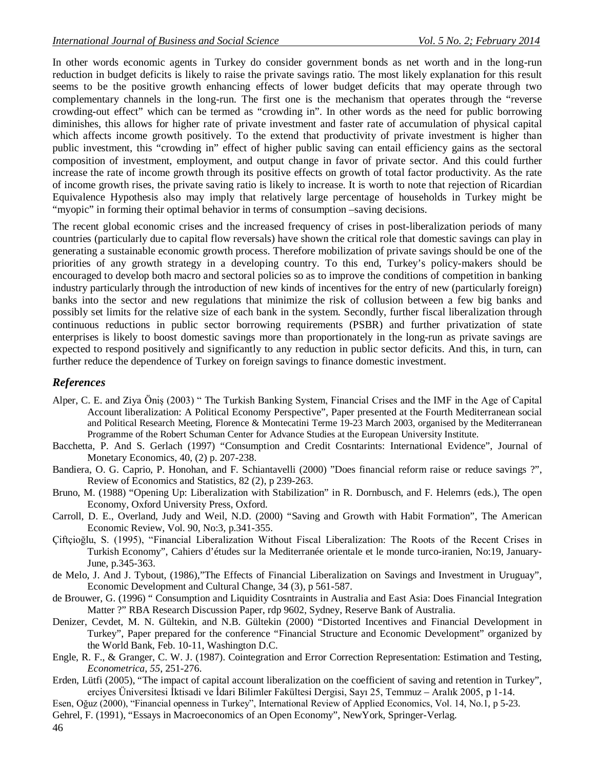In other words economic agents in Turkey do consider government bonds as net worth and in the long-run reduction in budget deficits is likely to raise the private savings ratio. The most likely explanation for this result seems to be the positive growth enhancing effects of lower budget deficits that may operate through two complementary channels in the long-run. The first one is the mechanism that operates through the "reverse crowding-out effect" which can be termed as "crowding in". In other words as the need for public borrowing diminishes, this allows for higher rate of private investment and faster rate of accumulation of physical capital which affects income growth positively. To the extend that productivity of private investment is higher than public investment, this "crowding in" effect of higher public saving can entail efficiency gains as the sectoral composition of investment, employment, and output change in favor of private sector. And this could further increase the rate of income growth through its positive effects on growth of total factor productivity. As the rate of income growth rises, the private saving ratio is likely to increase. It is worth to note that rejection of Ricardian Equivalence Hypothesis also may imply that relatively large percentage of households in Turkey might be "myopic" in forming their optimal behavior in terms of consumption –saving decisions.

The recent global economic crises and the increased frequency of crises in post-liberalization periods of many countries (particularly due to capital flow reversals) have shown the critical role that domestic savings can play in generating a sustainable economic growth process. Therefore mobilization of private savings should be one of the priorities of any growth strategy in a developing country. To this end, Turkey's policy-makers should be encouraged to develop both macro and sectoral policies so as to improve the conditions of competition in banking industry particularly through the introduction of new kinds of incentives for the entry of new (particularly foreign) banks into the sector and new regulations that minimize the risk of collusion between a few big banks and possibly set limits for the relative size of each bank in the system. Secondly, further fiscal liberalization through continuous reductions in public sector borrowing requirements (PSBR) and further privatization of state enterprises is likely to boost domestic savings more than proportionately in the long-run as private savings are expected to respond positively and significantly to any reduction in public sector deficits. And this, in turn, can further reduce the dependence of Turkey on foreign savings to finance domestic investment.

# *References*

- Alper, C. E. and Ziya Öniş (2003) " The Turkish Banking System, Financial Crises and the IMF in the Age of Capital Account liberalization: A Political Economy Perspective", Paper presented at the Fourth Mediterranean social and Political Research Meeting, Florence & Montecatini Terme 19-23 March 2003, organised by the Mediterranean Programme of the Robert Schuman Center for Advance Studies at the European University Institute.
- Bacchetta, P. And S. Gerlach (1997) "Consumption and Credit Cosntarints: International Evidence", Journal of Monetary Economics, 40, (2) p. 207-238.
- Bandiera, O. G. Caprio, P. Honohan, and F. Schiantavelli (2000) "Does financial reform raise or reduce savings ?", Review of Economics and Statistics, 82 (2), p 239-263.
- Bruno, M. (1988) "Opening Up: Liberalization with Stabilization" in R. Dornbusch, and F. Helemrs (eds.), The open Economy, Oxford University Press, Oxford.
- Carroll, D. E., Overland, Judy and Weil, N.D. (2000) "Saving and Growth with Habit Formation", The American Economic Review, Vol. 90, No:3, p.341-355.
- Çiftçioğlu, S. (1995), "Financial Liberalization Without Fiscal Liberalization: The Roots of the Recent Crises in Turkish Economy", Cahiers d'études sur la Mediterranée orientale et le monde turco-iranien, No:19, January-June, p.345-363.
- de Melo, J. And J. Tybout, (1986),"The Effects of Financial Liberalization on Savings and Investment in Uruguay", Economic Development and Cultural Change, 34 (3), p 561-587.
- de Brouwer, G. (1996) " Consumption and Liquidity Cosntraints in Australia and East Asia: Does Financial Integration Matter ?" RBA Research Discussion Paper, rdp 9602, Sydney, Reserve Bank of Australia.
- Denizer, Cevdet, M. N. Gültekin, and N.B. Gültekin (2000) "Distorted Incentives and Financial Development in Turkey", Paper prepared for the conference "Financial Structure and Economic Development" organized by the World Bank, Feb. 10-11, Washington D.C.
- Engle, R. F., & Granger, C. W. J. (1987). Cointegration and Error Correction Representation: Estimation and Testing, *Econometrica*, *55*, 251-276.
- Erden, Lütfi (2005), "The impact of capital account liberalization on the coefficient of saving and retention in Turkey", erciyes Üniversitesi İktisadi ve İdari Bilimler Fakültesi Dergisi, Sayı 25, Temmuz – Aralık 2005, p 1-14.
- Esen, Oğuz (2000), "Financial openness in Turkey", International Review of Applied Economics, Vol. 14, No.1, p 5-23.
- Gehrel, F. (1991), "Essays in Macroeconomics of an Open Economy", NewYork, Springer-Verlag.